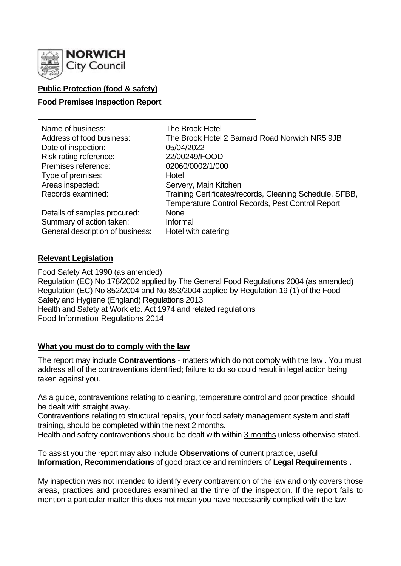

# **Public Protection (food & safety)**

# **Food Premises Inspection Report**

| Name of business:                | The Brook Hotel                                         |
|----------------------------------|---------------------------------------------------------|
| Address of food business:        | The Brook Hotel 2 Barnard Road Norwich NR5 9JB          |
| Date of inspection:              | 05/04/2022                                              |
| Risk rating reference:           | 22/00249/FOOD                                           |
| Premises reference:              | 02060/0002/1/000                                        |
| Type of premises:                | Hotel                                                   |
| Areas inspected:                 | Servery, Main Kitchen                                   |
| Records examined:                | Training Certificates/records, Cleaning Schedule, SFBB, |
|                                  | <b>Temperature Control Records, Pest Control Report</b> |
| Details of samples procured:     | <b>None</b>                                             |
| Summary of action taken:         | Informal                                                |
| General description of business: | Hotel with catering                                     |

### **Relevant Legislation**

Food Safety Act 1990 (as amended) Regulation (EC) No 178/2002 applied by The General Food Regulations 2004 (as amended) Regulation (EC) No 852/2004 and No 853/2004 applied by Regulation 19 (1) of the Food Safety and Hygiene (England) Regulations 2013 Health and Safety at Work etc. Act 1974 and related regulations Food Information Regulations 2014

### **What you must do to comply with the law**

The report may include **Contraventions** - matters which do not comply with the law . You must address all of the contraventions identified; failure to do so could result in legal action being taken against you.

As a guide, contraventions relating to cleaning, temperature control and poor practice, should be dealt with straight away.

Contraventions relating to structural repairs, your food safety management system and staff training, should be completed within the next 2 months.

Health and safety contraventions should be dealt with within 3 months unless otherwise stated.

To assist you the report may also include **Observations** of current practice, useful **Information**, **Recommendations** of good practice and reminders of **Legal Requirements .**

My inspection was not intended to identify every contravention of the law and only covers those areas, practices and procedures examined at the time of the inspection. If the report fails to mention a particular matter this does not mean you have necessarily complied with the law.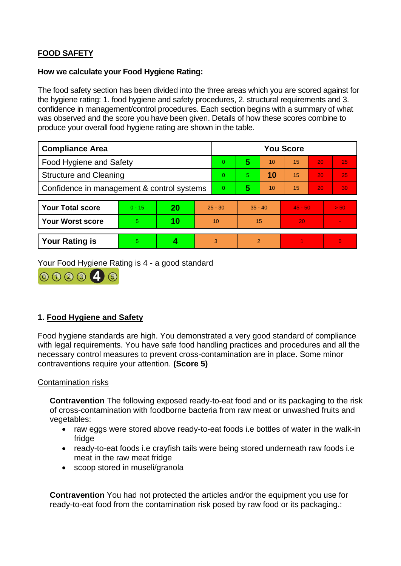# **FOOD SAFETY**

#### **How we calculate your Food Hygiene Rating:**

The food safety section has been divided into the three areas which you are scored against for the hygiene rating: 1. food hygiene and safety procedures, 2. structural requirements and 3. confidence in management/control procedures. Each section begins with a summary of what was observed and the score you have been given. Details of how these scores combine to produce your overall food hygiene rating are shown in the table.

| <b>Compliance Area</b>                     |          |    |           | <b>You Score</b> |               |    |           |    |                |
|--------------------------------------------|----------|----|-----------|------------------|---------------|----|-----------|----|----------------|
| <b>Food Hygiene and Safety</b>             |          |    |           | $\overline{0}$   | 5             | 10 | 15        | 20 | 25             |
| <b>Structure and Cleaning</b>              |          |    |           | $\Omega$         | 5.            | 10 | 15        | 20 | 25             |
| Confidence in management & control systems |          |    |           | $\overline{0}$   | 5             | 10 | 15        | 20 | 30             |
|                                            |          |    |           |                  |               |    |           |    |                |
| <b>Your Total score</b>                    | $0 - 15$ | 20 | $25 - 30$ |                  | $35 - 40$     |    | $45 - 50$ |    | > 50           |
| <b>Your Worst score</b>                    | 5        | 10 | 10        |                  | 15            |    | 20        |    | $\blacksquare$ |
|                                            |          |    |           |                  |               |    |           |    |                |
| <b>Your Rating is</b>                      | 5        |    |           | 3                | $\mathcal{P}$ |    |           |    | $\overline{0}$ |

Your Food Hygiene Rating is 4 - a good standard



# **1. Food Hygiene and Safety**

Food hygiene standards are high. You demonstrated a very good standard of compliance with legal requirements. You have safe food handling practices and procedures and all the necessary control measures to prevent cross-contamination are in place. Some minor contraventions require your attention. **(Score 5)**

### Contamination risks

**Contravention** The following exposed ready-to-eat food and or its packaging to the risk of cross-contamination with foodborne bacteria from raw meat or unwashed fruits and vegetables:

- raw eggs were stored above ready-to-eat foods i.e bottles of water in the walk-in fridge
- ready-to-eat foods i.e crayfish tails were being stored underneath raw foods i.e meat in the raw meat fridge
- scoop stored in museli/granola

**Contravention** You had not protected the articles and/or the equipment you use for ready-to-eat food from the contamination risk posed by raw food or its packaging.: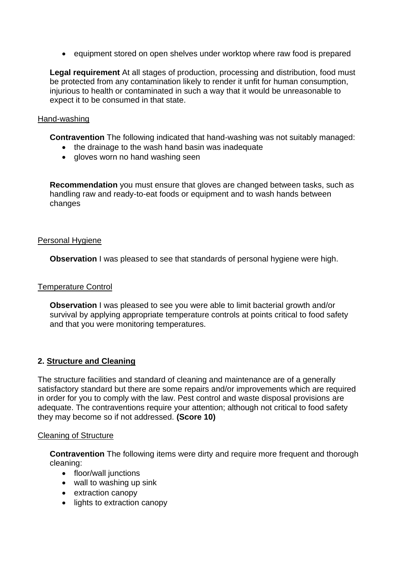• equipment stored on open shelves under worktop where raw food is prepared

**Legal requirement** At all stages of production, processing and distribution, food must be protected from any contamination likely to render it unfit for human consumption, injurious to health or contaminated in such a way that it would be unreasonable to expect it to be consumed in that state.

#### Hand-washing

**Contravention** The following indicated that hand-washing was not suitably managed:

- the drainage to the wash hand basin was inadequate
- gloves worn no hand washing seen

**Recommendation** you must ensure that gloves are changed between tasks, such as handling raw and ready-to-eat foods or equipment and to wash hands between changes

#### Personal Hygiene

**Observation** I was pleased to see that standards of personal hygiene were high.

#### Temperature Control

**Observation** I was pleased to see you were able to limit bacterial growth and/or survival by applying appropriate temperature controls at points critical to food safety and that you were monitoring temperatures.

### **2. Structure and Cleaning**

The structure facilities and standard of cleaning and maintenance are of a generally satisfactory standard but there are some repairs and/or improvements which are required in order for you to comply with the law. Pest control and waste disposal provisions are adequate. The contraventions require your attention; although not critical to food safety they may become so if not addressed. **(Score 10)**

### Cleaning of Structure

**Contravention** The following items were dirty and require more frequent and thorough cleaning:

- floor/wall junctions
- wall to washing up sink
- extraction canopy
- lights to extraction canopy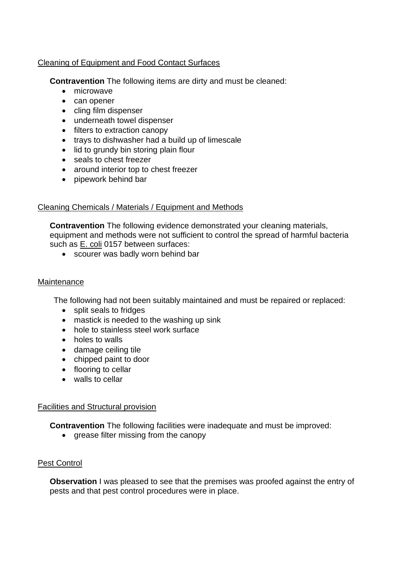# Cleaning of Equipment and Food Contact Surfaces

**Contravention** The following items are dirty and must be cleaned:

- microwave
- can opener
- cling film dispenser
- underneath towel dispenser
- filters to extraction canopy
- trays to dishwasher had a build up of limescale
- lid to grundy bin storing plain flour
- seals to chest freezer
- around interior top to chest freezer
- pipework behind bar

### Cleaning Chemicals / Materials / Equipment and Methods

**Contravention** The following evidence demonstrated your cleaning materials, equipment and methods were not sufficient to control the spread of harmful bacteria such as E. coli 0157 between surfaces:

• scourer was badly worn behind bar

#### **Maintenance**

The following had not been suitably maintained and must be repaired or replaced:

- split seals to fridges
- mastick is needed to the washing up sink
- hole to stainless steel work surface
- holes to walls
- damage ceiling tile
- chipped paint to door
- flooring to cellar
- walls to cellar

### Facilities and Structural provision

**Contravention** The following facilities were inadequate and must be improved:

• grease filter missing from the canopy

### Pest Control

**Observation** I was pleased to see that the premises was proofed against the entry of pests and that pest control procedures were in place.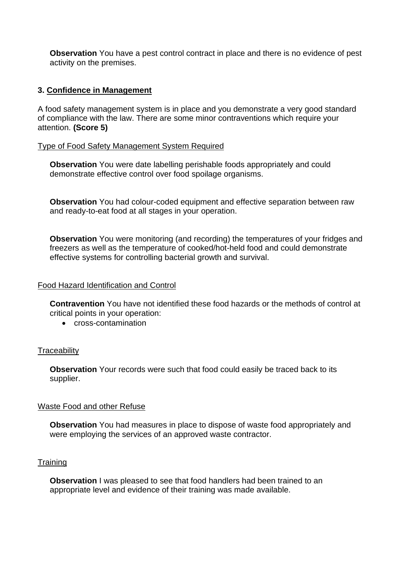**Observation** You have a pest control contract in place and there is no evidence of pest activity on the premises.

# **3. Confidence in Management**

A food safety management system is in place and you demonstrate a very good standard of compliance with the law. There are some minor contraventions which require your attention. **(Score 5)**

### Type of Food Safety Management System Required

**Observation** You were date labelling perishable foods appropriately and could demonstrate effective control over food spoilage organisms.

**Observation** You had colour-coded equipment and effective separation between raw and ready-to-eat food at all stages in your operation.

**Observation** You were monitoring (and recording) the temperatures of your fridges and freezers as well as the temperature of cooked/hot-held food and could demonstrate effective systems for controlling bacterial growth and survival.

#### Food Hazard Identification and Control

**Contravention** You have not identified these food hazards or the methods of control at critical points in your operation:

• cross-contamination

### **Traceability**

**Observation** Your records were such that food could easily be traced back to its supplier.

### Waste Food and other Refuse

**Observation** You had measures in place to dispose of waste food appropriately and were employing the services of an approved waste contractor.

### **Training**

**Observation** I was pleased to see that food handlers had been trained to an appropriate level and evidence of their training was made available.